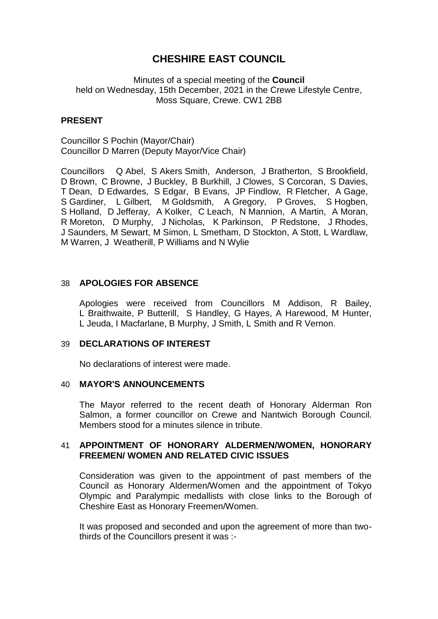# **CHESHIRE EAST COUNCIL**

Minutes of a special meeting of the **Council** held on Wednesday, 15th December, 2021 in the Crewe Lifestyle Centre, Moss Square, Crewe. CW1 2BB

## **PRESENT**

Councillor S Pochin (Mayor/Chair) Councillor D Marren (Deputy Mayor/Vice Chair)

Councillors Q Abel, S Akers Smith, Anderson, J Bratherton, S Brookfield, D Brown, C Browne, J Buckley, B Burkhill, J Clowes, S Corcoran, S Davies, T Dean, D Edwardes, S Edgar, B Evans, JP Findlow, R Fletcher, A Gage, S Gardiner, L Gilbert, M Goldsmith, A Gregory, P Groves, S Hogben, S Holland, D Jefferay, A Kolker, C Leach, N Mannion, A Martin, A Moran, R Moreton, D Murphy, J Nicholas, K Parkinson, P Redstone, J Rhodes, J Saunders, M Sewart, M Simon, L Smetham, D Stockton, A Stott, L Wardlaw, M Warren, J Weatherill, P Williams and N Wylie

## 38 **APOLOGIES FOR ABSENCE**

Apologies were received from Councillors M Addison, R Bailey, L Braithwaite, P Butterill, S Handley, G Hayes, A Harewood, M Hunter, L Jeuda, I Macfarlane, B Murphy, J Smith, L Smith and R Vernon.

### 39 **DECLARATIONS OF INTEREST**

No declarations of interest were made.

### 40 **MAYOR'S ANNOUNCEMENTS**

The Mayor referred to the recent death of Honorary Alderman Ron Salmon, a former councillor on Crewe and Nantwich Borough Council. Members stood for a minutes silence in tribute.

## 41 **APPOINTMENT OF HONORARY ALDERMEN/WOMEN, HONORARY FREEMEN/ WOMEN AND RELATED CIVIC ISSUES**

Consideration was given to the appointment of past members of the Council as Honorary Aldermen/Women and the appointment of Tokyo Olympic and Paralympic medallists with close links to the Borough of Cheshire East as Honorary Freemen/Women.

It was proposed and seconded and upon the agreement of more than twothirds of the Councillors present it was :-